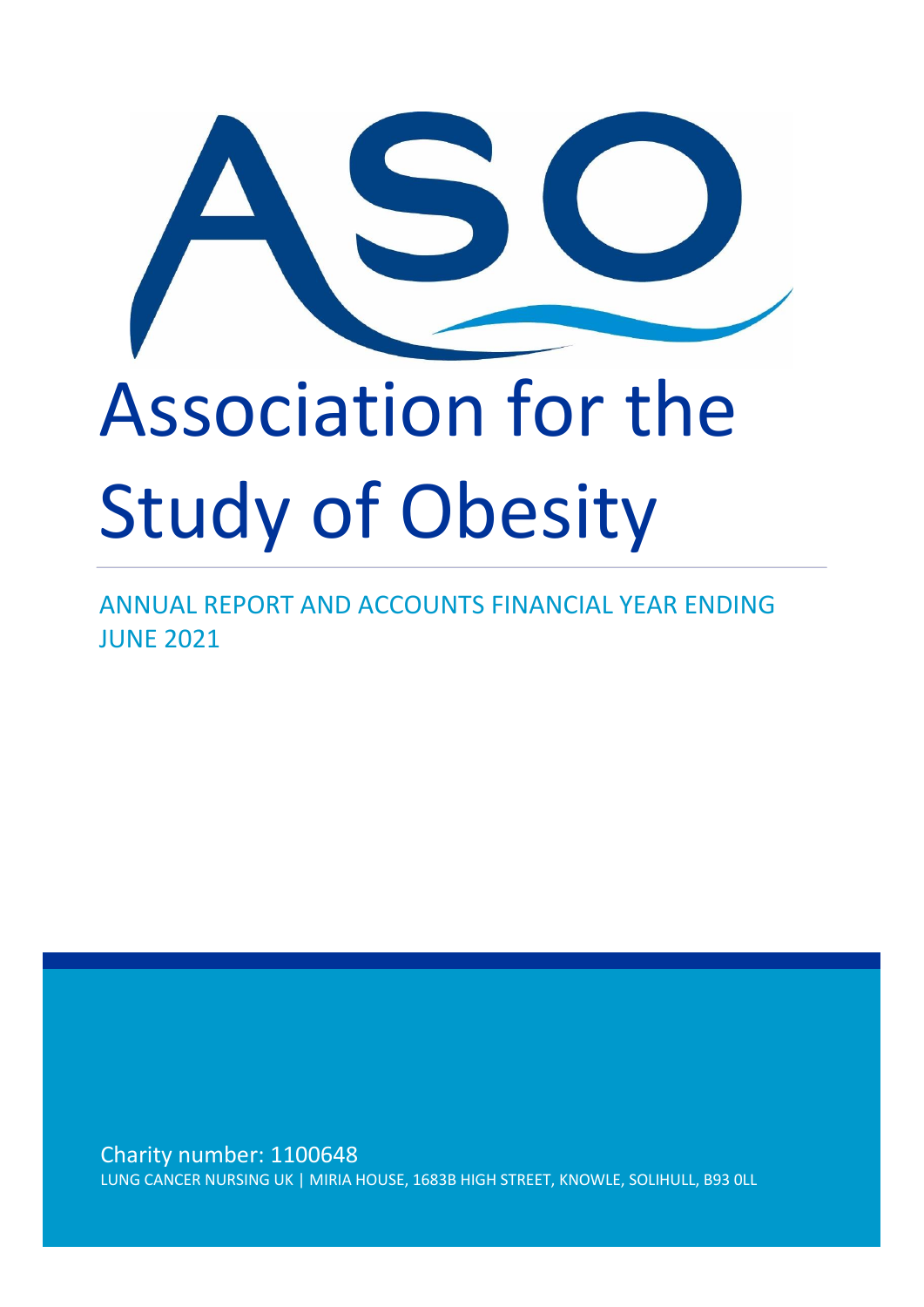

ANNUAL REPORT AND ACCOUNTS FINANCIAL YEAR ENDING JUNE 2021

Charity number: 1100648 LUNG CANCER NURSING UK | MIRIA HOUSE, 1683B HIGH STREET, KNOWLE, SOLIHULL, B93 0LL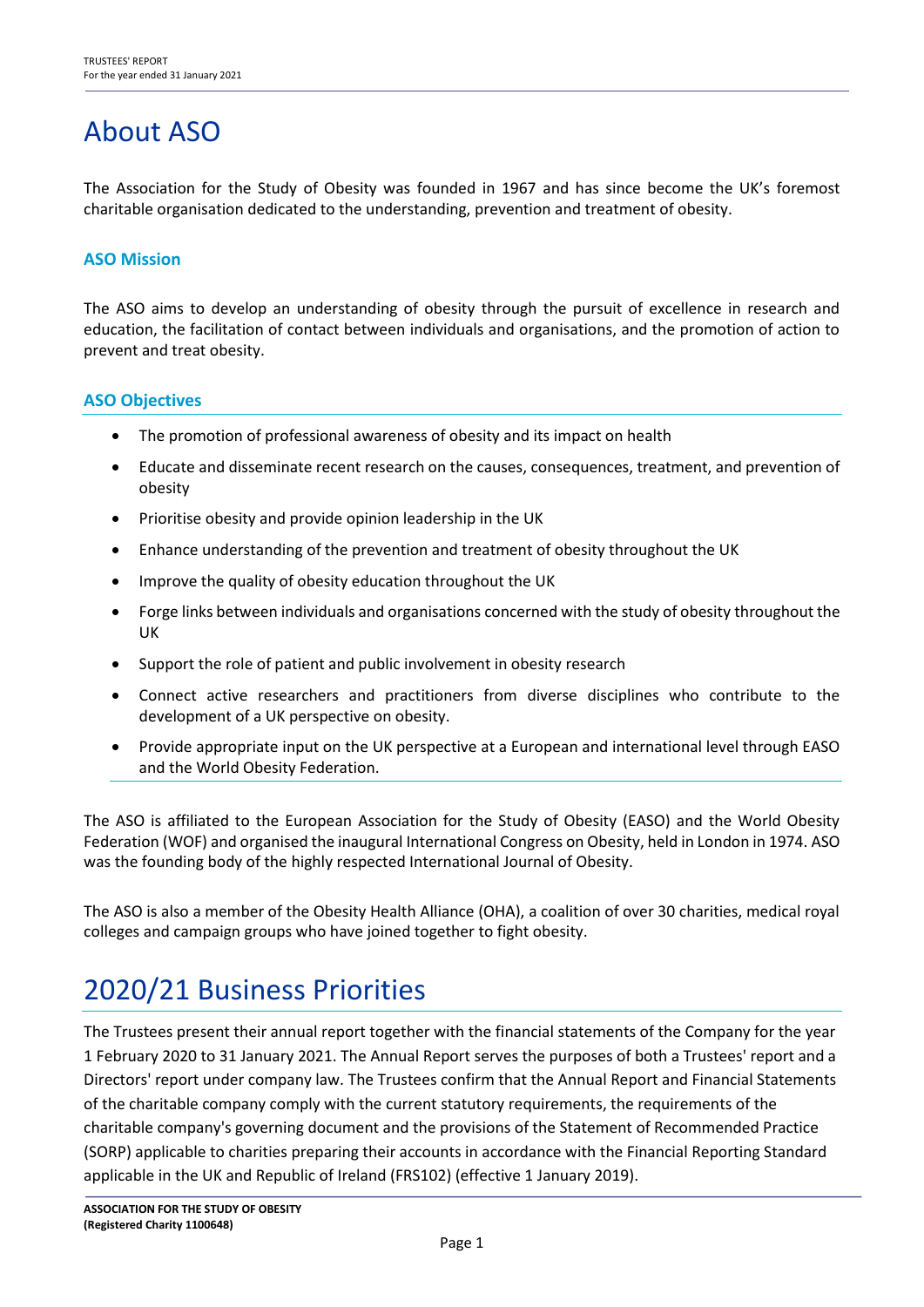# About ASO

The Association for the Study of Obesity was founded in 1967 and has since become the UK's foremost charitable organisation dedicated to the understanding, prevention and treatment of obesity.

#### **ASO Mission**

The ASO aims to develop an understanding of obesity through the pursuit of excellence in research and education, the facilitation of contact between individuals and organisations, and the promotion of action to prevent and treat obesity.

#### **ASO Objectives**

- The promotion of professional awareness of obesity and its impact on health
- Educate and disseminate recent research on the causes, consequences, treatment, and prevention of obesity
- Prioritise obesity and provide opinion leadership in the UK
- Enhance understanding of the prevention and treatment of obesity throughout the UK
- Improve the quality of obesity education throughout the UK
- Forge links between individuals and organisations concerned with the study of obesity throughout the UK
- Support the role of patient and public involvement in obesity research
- Connect active researchers and practitioners from diverse disciplines who contribute to the development of a UK perspective on obesity.
- Provide appropriate input on the UK perspective at a European and international level through EASO and the World Obesity Federation.

The ASO is affiliated to the European Association for the Study of Obesity (EASO) and the World Obesity Federation (WOF) and organised the inaugural International Congress on Obesity, held in London in 1974. ASO was the founding body of the highly respected International Journal of Obesity.

The ASO is also a member of the Obesity Health Alliance (OHA), a coalition of over 30 charities, medical royal colleges and campaign groups who have joined together to fight obesity.

# 2020/21 Business Priorities

The Trustees present their annual report together with the financial statements of the Company for the year 1 February 2020 to 31 January 2021. The Annual Report serves the purposes of both a Trustees' report and a Directors' report under company law. The Trustees confirm that the Annual Report and Financial Statements of the charitable company comply with the current statutory requirements, the requirements of the charitable company's governing document and the provisions of the Statement of Recommended Practice (SORP) applicable to charities preparing their accounts in accordance with the Financial Reporting Standard applicable in the UK and Republic of Ireland (FRS102) (effective 1 January 2019).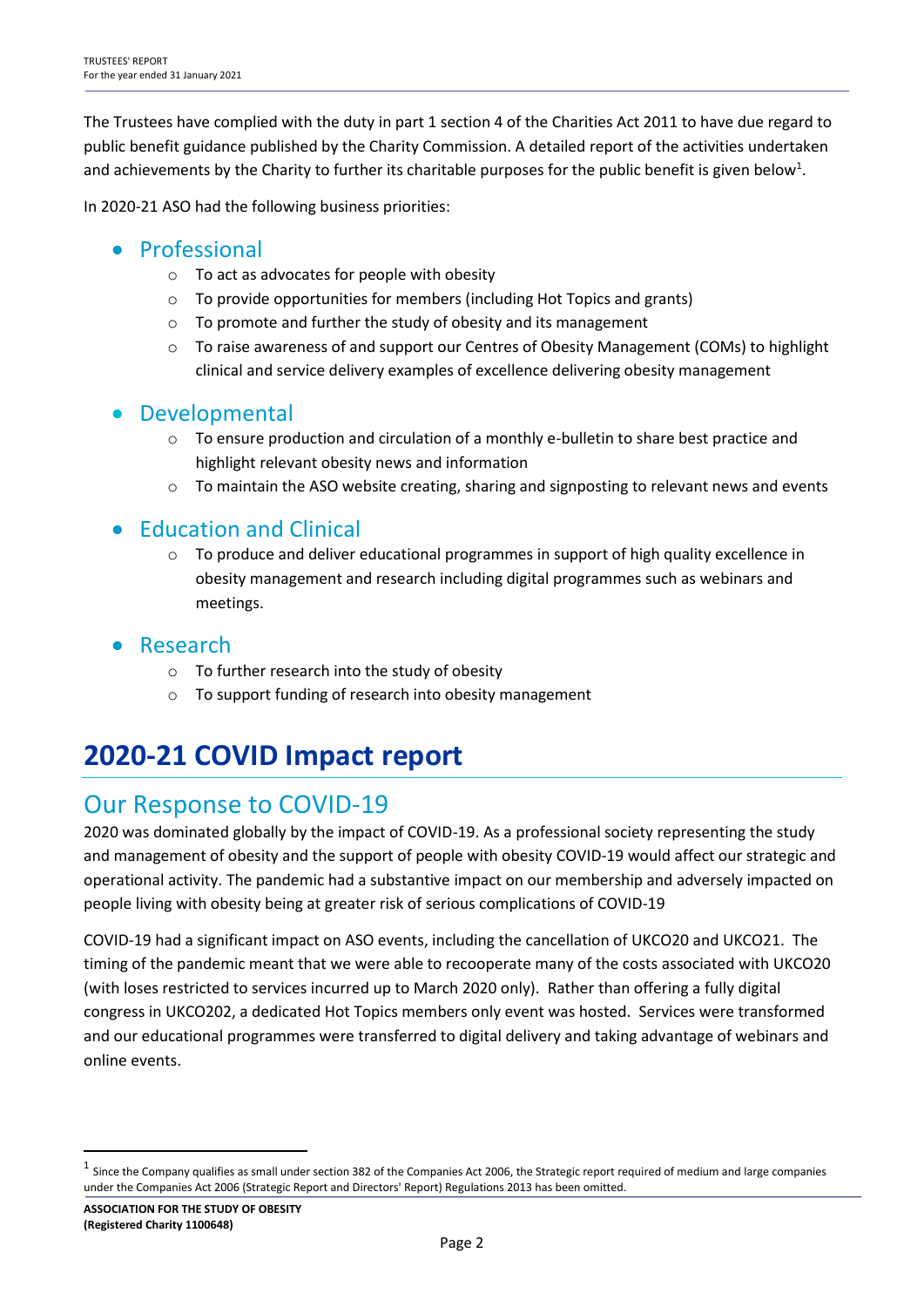The Trustees have complied with the duty in part 1 section 4 of the Charities Act 2011 to have due regard to public benefit guidance published by the Charity Commission. A detailed report of the activities undertaken and achievements by the Charity to further its charitable purposes for the public benefit is given below<sup>1</sup>.

In 2020-21 ASO had the following business priorities:

## • Professional

- o To act as advocates for people with obesity
- o To provide opportunities for members (including Hot Topics and grants)
- o To promote and further the study of obesity and its management
- o To raise awareness of and support our Centres of Obesity Management (COMs) to highlight clinical and service delivery examples of excellence delivering obesity management

## • Developmental

- $\circ$  To ensure production and circulation of a monthly e-bulletin to share best practice and highlight relevant obesity news and information
- $\circ$  To maintain the ASO website creating, sharing and signposting to relevant news and events

## • Education and Clinical

- $\circ$  To produce and deliver educational programmes in support of high quality excellence in obesity management and research including digital programmes such as webinars and meetings.
- **Research** 
	- o To further research into the study of obesity
	- o To support funding of research into obesity management

# **2020-21 COVID Impact report**

## Our Response to COVID-19

2020 was dominated globally by the impact of COVID-19. As a professional society representing the study and management of obesity and the support of people with obesity COVID-19 would affect our strategic and operational activity. The pandemic had a substantive impact on our membership and adversely impacted on people living with obesity being at greater risk of serious complications of COVID-19

COVID-19 had a significant impact on ASO events, including the cancellation of UKCO20 and UKCO21. The timing of the pandemic meant that we were able to recooperate many of the costs associated with UKCO20 (with loses restricted to services incurred up to March 2020 only). Rather than offering a fully digital congress in UKCO202, a dedicated Hot Topics members only event was hosted. Services were transformed and our educational programmes were transferred to digital delivery and taking advantage of webinars and online events.

 $<sup>1</sup>$  Since the Company qualifies as small under section 382 of the Companies Act 2006, the Strategic report required of medium and large companies</sup> under the Companies Act 2006 (Strategic Report and Directors' Report) Regulations 2013 has been omitted.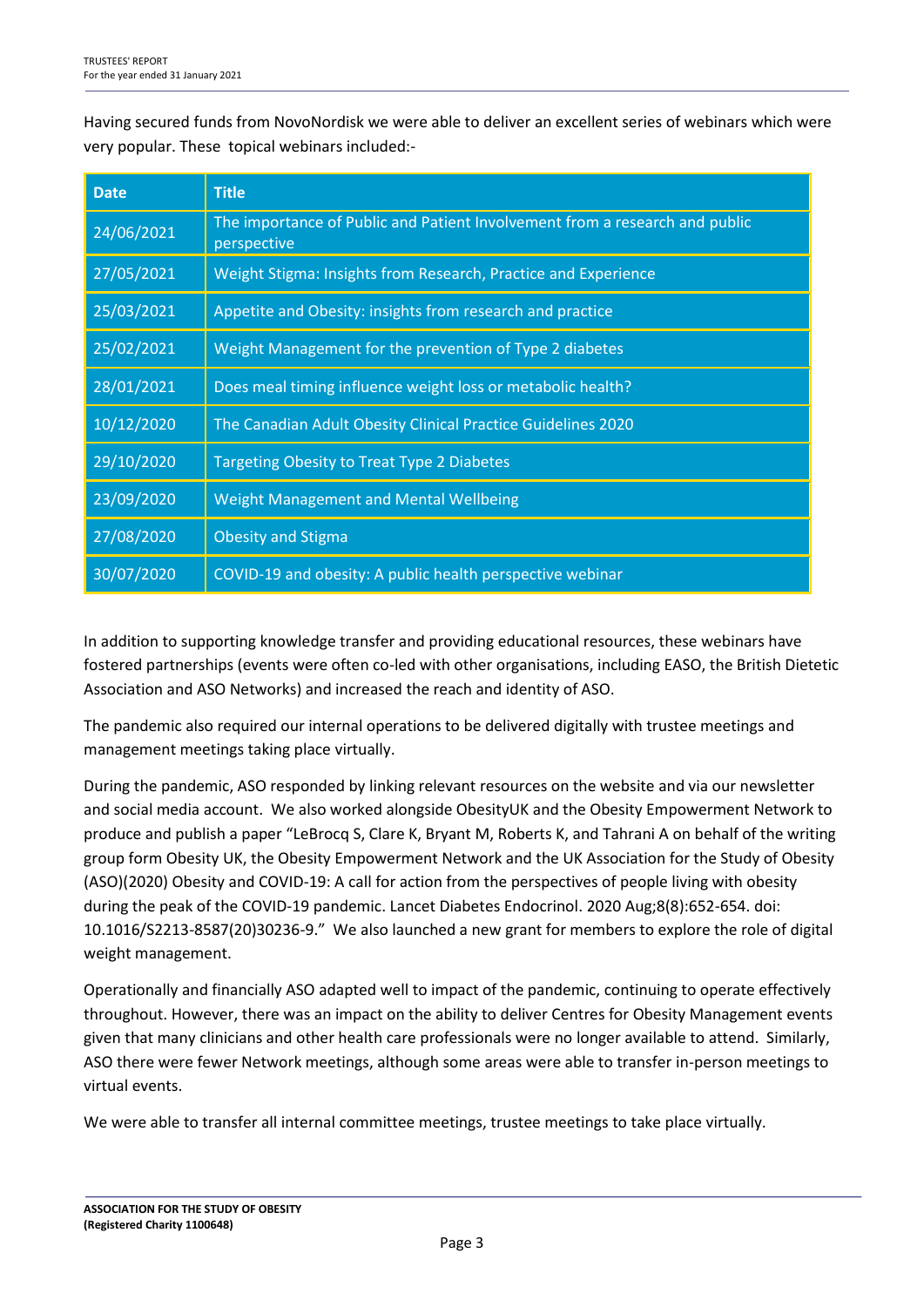Having secured funds from NovoNordisk we were able to deliver an excellent series of webinars which were very popular. These topical webinars included:-

| <b>Date</b> | <b>Title</b>                                                                               |
|-------------|--------------------------------------------------------------------------------------------|
| 24/06/2021  | The importance of Public and Patient Involvement from a research and public<br>perspective |
| 27/05/2021  | Weight Stigma: Insights from Research, Practice and Experience                             |
| 25/03/2021  | Appetite and Obesity: insights from research and practice                                  |
| 25/02/2021  | Weight Management for the prevention of Type 2 diabetes                                    |
| 28/01/2021  | Does meal timing influence weight loss or metabolic health?                                |
| 10/12/2020  | The Canadian Adult Obesity Clinical Practice Guidelines 2020                               |
| 29/10/2020  | <b>Targeting Obesity to Treat Type 2 Diabetes</b>                                          |
| 23/09/2020  | <b>Weight Management and Mental Wellbeing</b>                                              |
| 27/08/2020  | <b>Obesity and Stigma</b>                                                                  |
| 30/07/2020  | COVID-19 and obesity: A public health perspective webinar                                  |

In addition to supporting knowledge transfer and providing educational resources, these webinars have fostered partnerships (events were often co-led with other organisations, including EASO, the British Dietetic Association and ASO Networks) and increased the reach and identity of ASO.

The pandemic also required our internal operations to be delivered digitally with trustee meetings and management meetings taking place virtually.

During the pandemic, ASO responded by linking relevant resources on the website and via our newsletter and social media account. We also worked alongside ObesityUK and the Obesity Empowerment Network to produce and publish a paper "LeBrocq S, Clare K, Bryant M, Roberts K, and Tahrani A on behalf of the writing group form Obesity UK, the Obesity Empowerment Network and the UK Association for the Study of Obesity (ASO)(2020) Obesity and COVID-19: A call for action from the perspectives of people living with obesity during the peak of the COVID-19 pandemic. Lancet Diabetes Endocrinol. 2020 Aug;8(8):652-654. doi: 10.1016/S2213-8587(20)30236-9." We also launched a new grant for members to explore the role of digital weight management.

Operationally and financially ASO adapted well to impact of the pandemic, continuing to operate effectively throughout. However, there was an impact on the ability to deliver Centres for Obesity Management events given that many clinicians and other health care professionals were no longer available to attend. Similarly, ASO there were fewer Network meetings, although some areas were able to transfer in-person meetings to virtual events.

We were able to transfer all internal committee meetings, trustee meetings to take place virtually.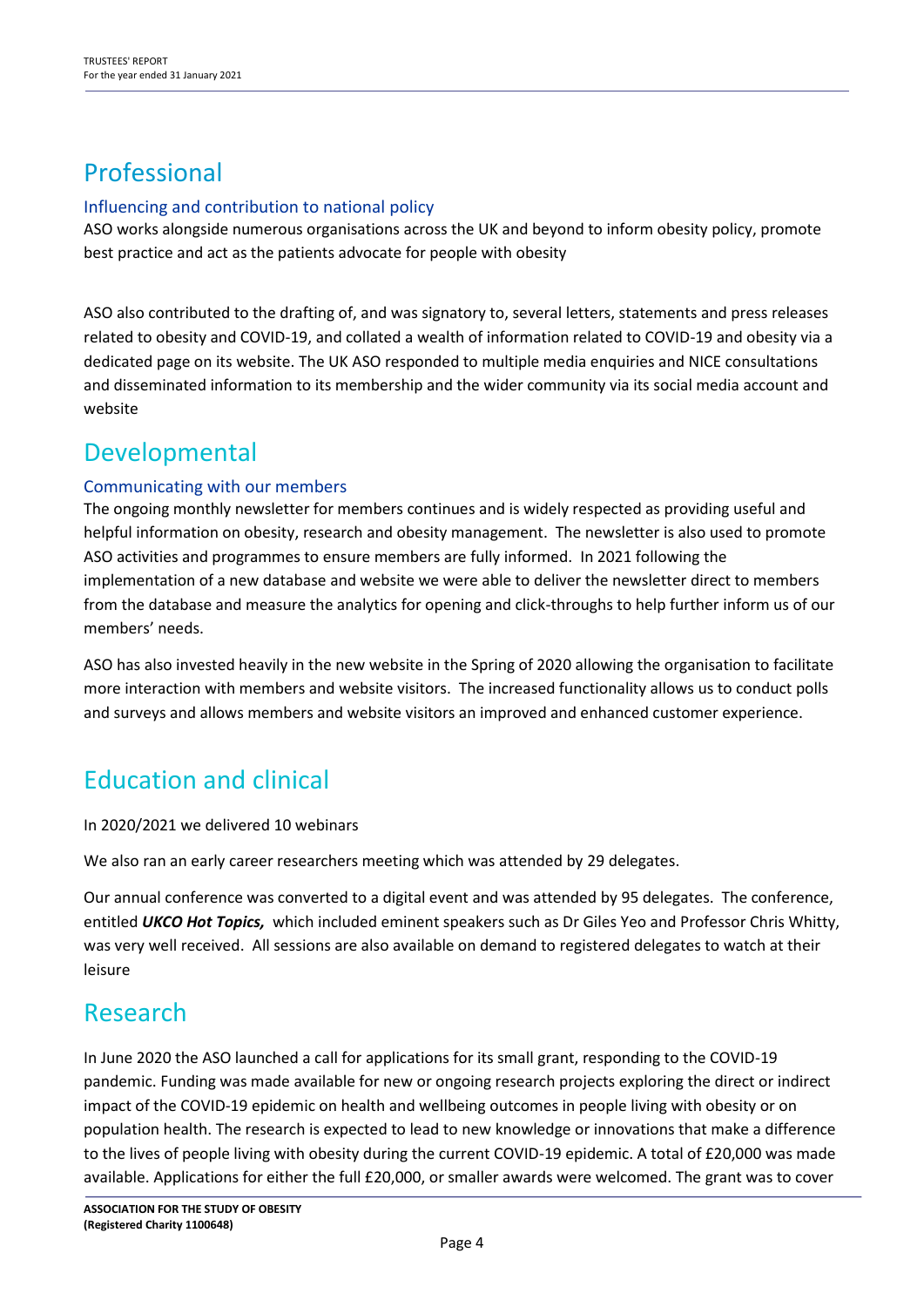## Professional

#### Influencing and contribution to national policy

ASO works alongside numerous organisations across the UK and beyond to inform obesity policy, promote best practice and act as the patients advocate for people with obesity

ASO also contributed to the drafting of, and was signatory to, several letters, statements and press releases related to obesity and COVID-19, and collated a wealth of information related to COVID-19 and obesity via a dedicated page on its website. The UK ASO responded to multiple media enquiries and NICE consultations and disseminated information to its membership and the wider community via its social media account and website

## Developmental

#### Communicating with our members

The ongoing monthly newsletter for members continues and is widely respected as providing useful and helpful information on obesity, research and obesity management. The newsletter is also used to promote ASO activities and programmes to ensure members are fully informed. In 2021 following the implementation of a new database and website we were able to deliver the newsletter direct to members from the database and measure the analytics for opening and click-throughs to help further inform us of our members' needs.

ASO has also invested heavily in the new website in the Spring of 2020 allowing the organisation to facilitate more interaction with members and website visitors. The increased functionality allows us to conduct polls and surveys and allows members and website visitors an improved and enhanced customer experience.

## Education and clinical

In 2020/2021 we delivered 10 webinars

We also ran an early career researchers meeting which was attended by 29 delegates.

Our annual conference was converted to a digital event and was attended by 95 delegates. The conference, entitled *UKCO Hot Topics,* which included eminent speakers such as Dr Giles Yeo and Professor Chris Whitty, was very well received. All sessions are also available on demand to registered delegates to watch at their leisure

## Research

In June 2020 the ASO launched a call for applications for its small grant, responding to the COVID-19 pandemic. Funding was made available for new or ongoing research projects exploring the direct or indirect impact of the COVID-19 epidemic on health and wellbeing outcomes in people living with obesity or on population health. The research is expected to lead to new knowledge or innovations that make a difference to the lives of people living with obesity during the current COVID-19 epidemic. A total of £20,000 was made available. Applications for either the full £20,000, or smaller awards were welcomed. The grant was to cover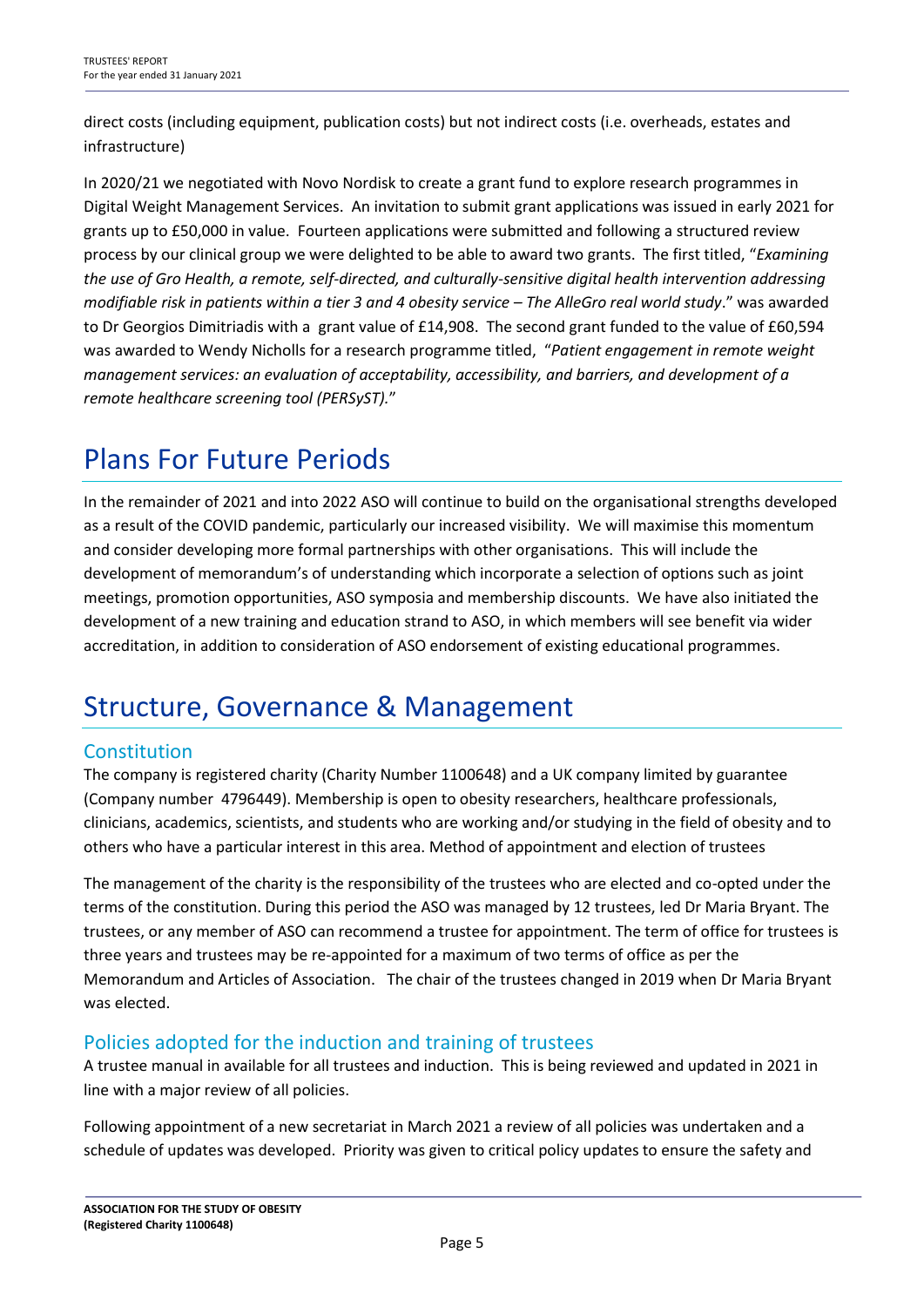direct costs (including equipment, publication costs) but not indirect costs (i.e. overheads, estates and infrastructure)

In 2020/21 we negotiated with Novo Nordisk to create a grant fund to explore research programmes in Digital Weight Management Services. An invitation to submit grant applications was issued in early 2021 for grants up to £50,000 in value. Fourteen applications were submitted and following a structured review process by our clinical group we were delighted to be able to award two grants. The first titled, "*Examining the use of Gro Health, a remote, self-directed, and culturally-sensitive digital health intervention addressing modifiable risk in patients within a tier 3 and 4 obesity service – The AlleGro real world study*." was awarded to Dr Georgios Dimitriadis with a grant value of £14,908. The second grant funded to the value of £60,594 was awarded to Wendy Nicholls for a research programme titled, "*Patient engagement in remote weight management services: an evaluation of acceptability, accessibility, and barriers, and development of a remote healthcare screening tool (PERSyST).*"

## Plans For Future Periods

In the remainder of 2021 and into 2022 ASO will continue to build on the organisational strengths developed as a result of the COVID pandemic, particularly our increased visibility. We will maximise this momentum and consider developing more formal partnerships with other organisations. This will include the development of memorandum's of understanding which incorporate a selection of options such as joint meetings, promotion opportunities, ASO symposia and membership discounts. We have also initiated the development of a new training and education strand to ASO, in which members will see benefit via wider accreditation, in addition to consideration of ASO endorsement of existing educational programmes.

## Structure, Governance & Management

## Constitution

The company is registered charity (Charity Number 1100648) and a UK company limited by guarantee (Company number 4796449). Membership is open to obesity researchers, healthcare professionals, clinicians, academics, scientists, and students who are working and/or studying in the field of obesity and to others who have a particular interest in this area. Method of appointment and election of trustees

The management of the charity is the responsibility of the trustees who are elected and co-opted under the terms of the constitution. During this period the ASO was managed by 12 trustees, led Dr Maria Bryant. The trustees, or any member of ASO can recommend a trustee for appointment. The term of office for trustees is three years and trustees may be re-appointed for a maximum of two terms of office as per the Memorandum and Articles of Association. The chair of the trustees changed in 2019 when Dr Maria Bryant was elected.

### Policies adopted for the induction and training of trustees

A trustee manual in available for all trustees and induction. This is being reviewed and updated in 2021 in line with a major review of all policies.

Following appointment of a new secretariat in March 2021 a review of all policies was undertaken and a schedule of updates was developed. Priority was given to critical policy updates to ensure the safety and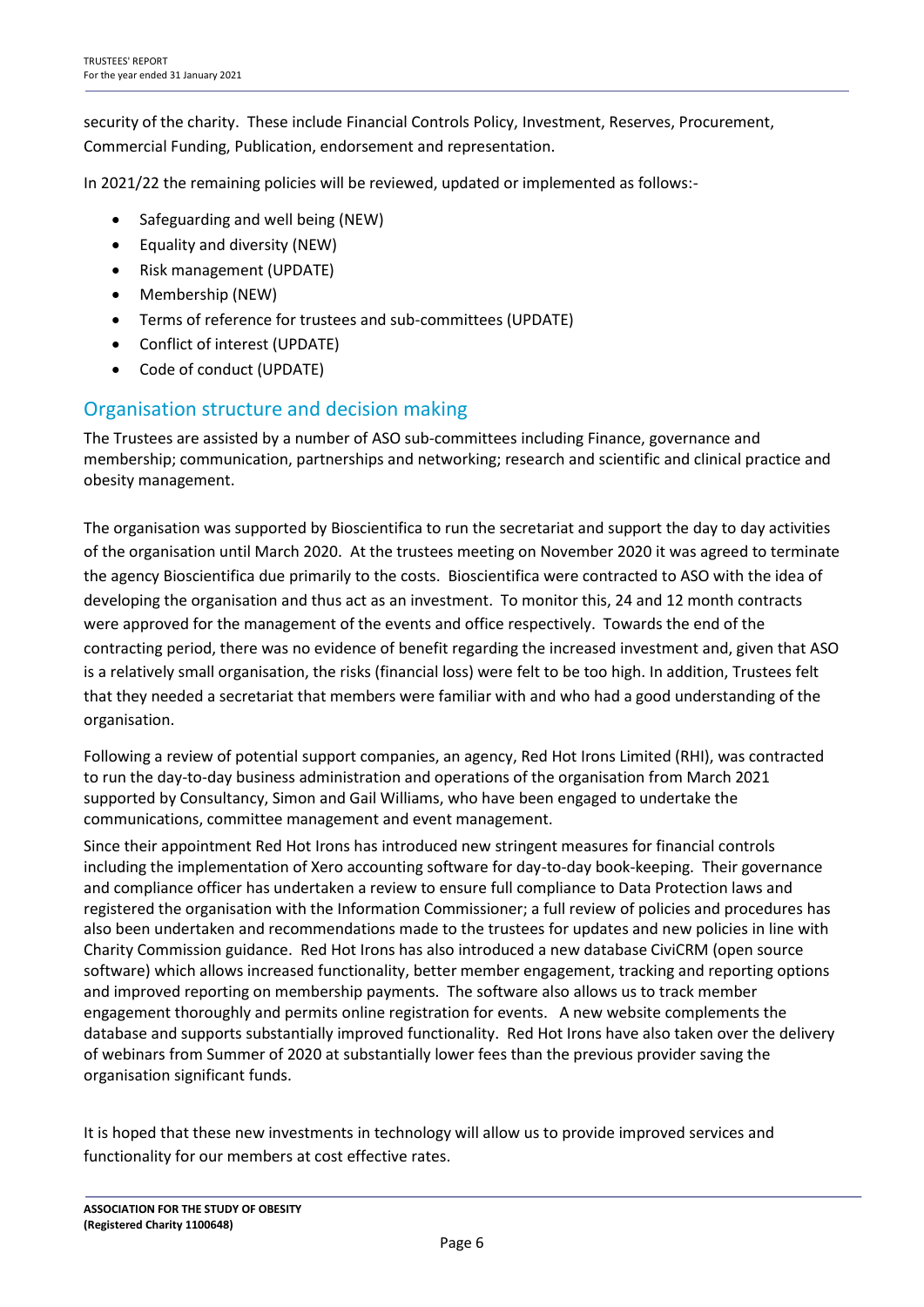security of the charity. These include Financial Controls Policy, Investment, Reserves, Procurement, Commercial Funding, Publication, endorsement and representation.

In 2021/22 the remaining policies will be reviewed, updated or implemented as follows:-

- Safeguarding and well being (NEW)
- Equality and diversity (NEW)
- Risk management (UPDATE)
- Membership (NEW)
- Terms of reference for trustees and sub-committees (UPDATE)
- Conflict of interest (UPDATE)
- Code of conduct (UPDATE)

### Organisation structure and decision making

The Trustees are assisted by a number of ASO sub-committees including Finance, governance and membership; communication, partnerships and networking; research and scientific and clinical practice and obesity management.

The organisation was supported by Bioscientifica to run the secretariat and support the day to day activities of the organisation until March 2020. At the trustees meeting on November 2020 it was agreed to terminate the agency Bioscientifica due primarily to the costs. Bioscientifica were contracted to ASO with the idea of developing the organisation and thus act as an investment. To monitor this, 24 and 12 month contracts were approved for the management of the events and office respectively. Towards the end of the contracting period, there was no evidence of benefit regarding the increased investment and, given that ASO is a relatively small organisation, the risks (financial loss) were felt to be too high. In addition, Trustees felt that they needed a secretariat that members were familiar with and who had a good understanding of the organisation.

Following a review of potential support companies, an agency, Red Hot Irons Limited (RHI), was contracted to run the day-to-day business administration and operations of the organisation from March 2021 supported by Consultancy, Simon and Gail Williams, who have been engaged to undertake the communications, committee management and event management.

Since their appointment Red Hot Irons has introduced new stringent measures for financial controls including the implementation of Xero accounting software for day-to-day book-keeping. Their governance and compliance officer has undertaken a review to ensure full compliance to Data Protection laws and registered the organisation with the Information Commissioner; a full review of policies and procedures has also been undertaken and recommendations made to the trustees for updates and new policies in line with Charity Commission guidance. Red Hot Irons has also introduced a new database CiviCRM (open source software) which allows increased functionality, better member engagement, tracking and reporting options and improved reporting on membership payments. The software also allows us to track member engagement thoroughly and permits online registration for events. A new website complements the database and supports substantially improved functionality. Red Hot Irons have also taken over the delivery of webinars from Summer of 2020 at substantially lower fees than the previous provider saving the organisation significant funds.

It is hoped that these new investments in technology will allow us to provide improved services and functionality for our members at cost effective rates.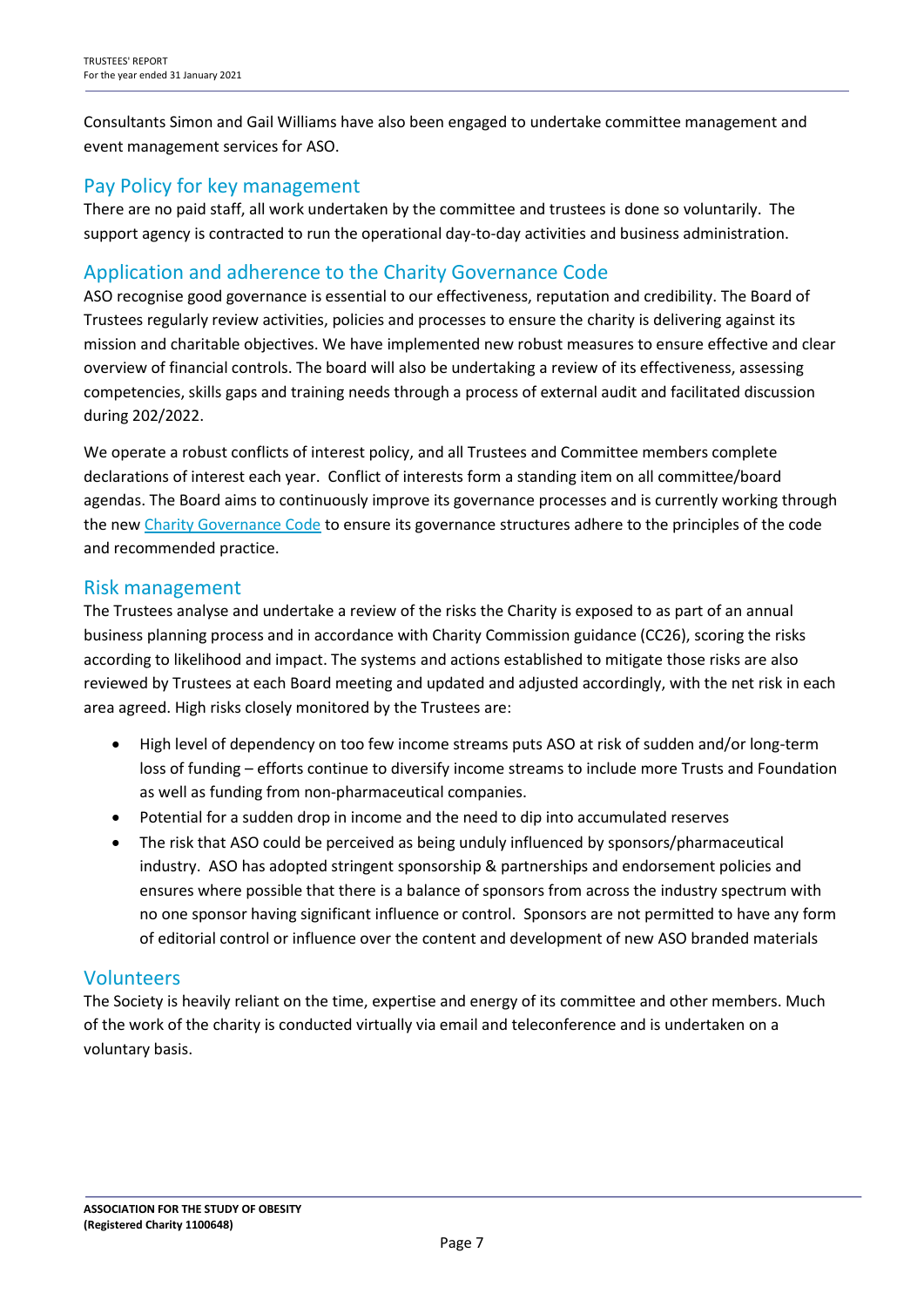Consultants Simon and Gail Williams have also been engaged to undertake committee management and event management services for ASO.

### Pay Policy for key management

There are no paid staff, all work undertaken by the committee and trustees is done so voluntarily. The support agency is contracted to run the operational day-to-day activities and business administration.

### Application and adherence to the Charity Governance Code

ASO recognise good governance is essential to our effectiveness, reputation and credibility. The Board of Trustees regularly review activities, policies and processes to ensure the charity is delivering against its mission and charitable objectives. We have implemented new robust measures to ensure effective and clear overview of financial controls. The board will also be undertaking a review of its effectiveness, assessing competencies, skills gaps and training needs through a process of external audit and facilitated discussion during 202/2022.

We operate a robust conflicts of interest policy, and all Trustees and Committee members complete declarations of interest each year. Conflict of interests form a standing item on all committee/board agendas. The Board aims to continuously improve its governance processes and is currently working through the new [Charity Governance Code](https://www.charitygovernancecode.org/en/front-page) to ensure its governance structures adhere to the principles of the code and recommended practice.

### Risk management

The Trustees analyse and undertake a review of the risks the Charity is exposed to as part of an annual business planning process and in accordance with Charity Commission guidance (CC26), scoring the risks according to likelihood and impact. The systems and actions established to mitigate those risks are also reviewed by Trustees at each Board meeting and updated and adjusted accordingly, with the net risk in each area agreed. High risks closely monitored by the Trustees are:

- High level of dependency on too few income streams puts ASO at risk of sudden and/or long-term loss of funding – efforts continue to diversify income streams to include more Trusts and Foundation as well as funding from non-pharmaceutical companies.
- Potential for a sudden drop in income and the need to dip into accumulated reserves
- The risk that ASO could be perceived as being unduly influenced by sponsors/pharmaceutical industry. ASO has adopted stringent sponsorship & partnerships and endorsement policies and ensures where possible that there is a balance of sponsors from across the industry spectrum with no one sponsor having significant influence or control. Sponsors are not permitted to have any form of editorial control or influence over the content and development of new ASO branded materials

#### Volunteers

The Society is heavily reliant on the time, expertise and energy of its committee and other members. Much of the work of the charity is conducted virtually via email and teleconference and is undertaken on a voluntary basis.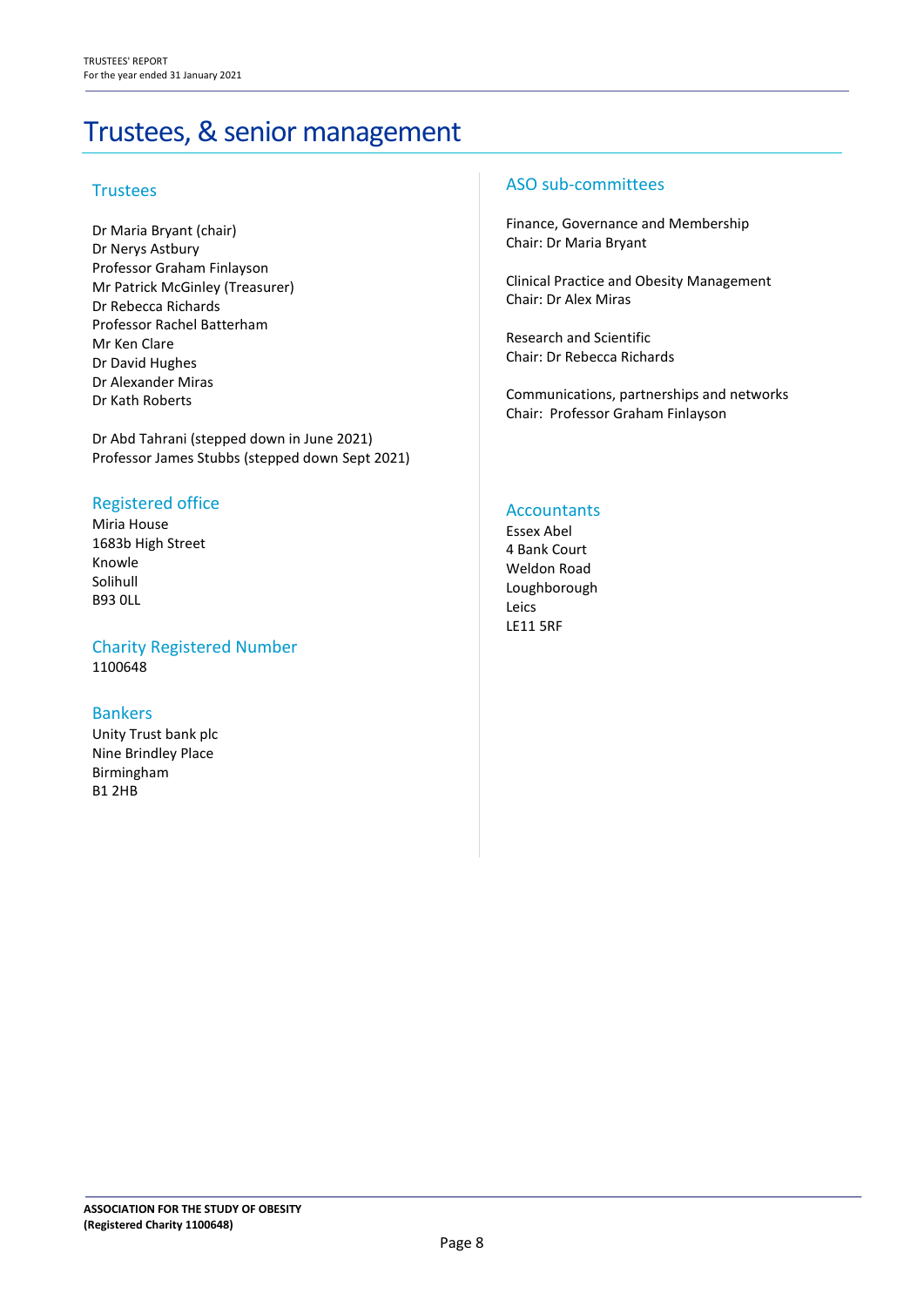# Trustees, & senior management

#### **Trustees**

Dr Maria Bryant (chair) Dr Nerys Astbury Professor Graham Finlayson Mr Patrick McGinley (Treasurer) Dr Rebecca Richards Professor Rachel Batterham Mr Ken Clare Dr David Hughes Dr Alexander Miras Dr Kath Roberts

Dr Abd Tahrani (stepped down in June 2021) Professor James Stubbs (stepped down Sept 2021)

#### Registered office

Miria House 1683b High Street Knowle Solihull B93 0LL

#### Charity Registered Number 1100648

#### Bankers

Unity Trust bank plc Nine Brindley Place Birmingham B1 2HB

#### ASO sub-committees

Finance, Governance and Membership Chair: Dr Maria Bryant

Clinical Practice and Obesity Management Chair: Dr Alex Miras

Research and Scientific Chair: Dr Rebecca Richards

Communications, partnerships and networks Chair: Professor Graham Finlayson

#### **Accountants**

Essex Abel 4 Bank Court Weldon Road Loughborough Leics LE11 5RF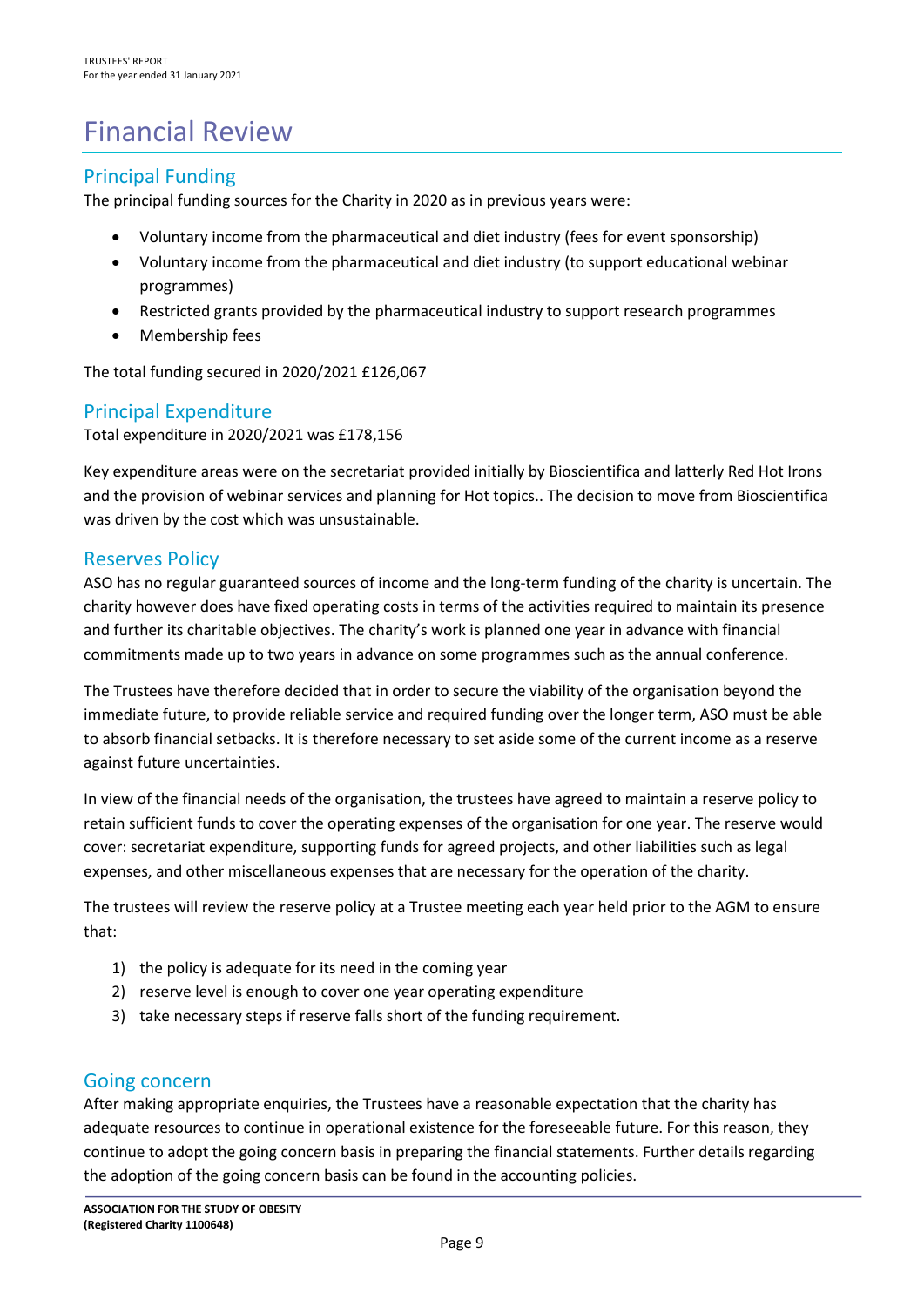# Financial Review

## Principal Funding

The principal funding sources for the Charity in 2020 as in previous years were:

- Voluntary income from the pharmaceutical and diet industry (fees for event sponsorship)
- Voluntary income from the pharmaceutical and diet industry (to support educational webinar programmes)
- Restricted grants provided by the pharmaceutical industry to support research programmes
- Membership fees

The total funding secured in 2020/2021 £126,067

### Principal Expenditure

Total expenditure in 2020/2021 was £178,156

Key expenditure areas were on the secretariat provided initially by Bioscientifica and latterly Red Hot Irons and the provision of webinar services and planning for Hot topics.. The decision to move from Bioscientifica was driven by the cost which was unsustainable.

#### Reserves Policy

ASO has no regular guaranteed sources of income and the long-term funding of the charity is uncertain. The charity however does have fixed operating costs in terms of the activities required to maintain its presence and further its charitable objectives. The charity's work is planned one year in advance with financial commitments made up to two years in advance on some programmes such as the annual conference.

The Trustees have therefore decided that in order to secure the viability of the organisation beyond the immediate future, to provide reliable service and required funding over the longer term, ASO must be able to absorb financial setbacks. It is therefore necessary to set aside some of the current income as a reserve against future uncertainties.

In view of the financial needs of the organisation, the trustees have agreed to maintain a reserve policy to retain sufficient funds to cover the operating expenses of the organisation for one year. The reserve would cover: secretariat expenditure, supporting funds for agreed projects, and other liabilities such as legal expenses, and other miscellaneous expenses that are necessary for the operation of the charity.

The trustees will review the reserve policy at a Trustee meeting each year held prior to the AGM to ensure that:

- 1) the policy is adequate for its need in the coming year
- 2) reserve level is enough to cover one year operating expenditure
- 3) take necessary steps if reserve falls short of the funding requirement.

#### Going concern

After making appropriate enquiries, the Trustees have a reasonable expectation that the charity has adequate resources to continue in operational existence for the foreseeable future. For this reason, they continue to adopt the going concern basis in preparing the financial statements. Further details regarding the adoption of the going concern basis can be found in the accounting policies.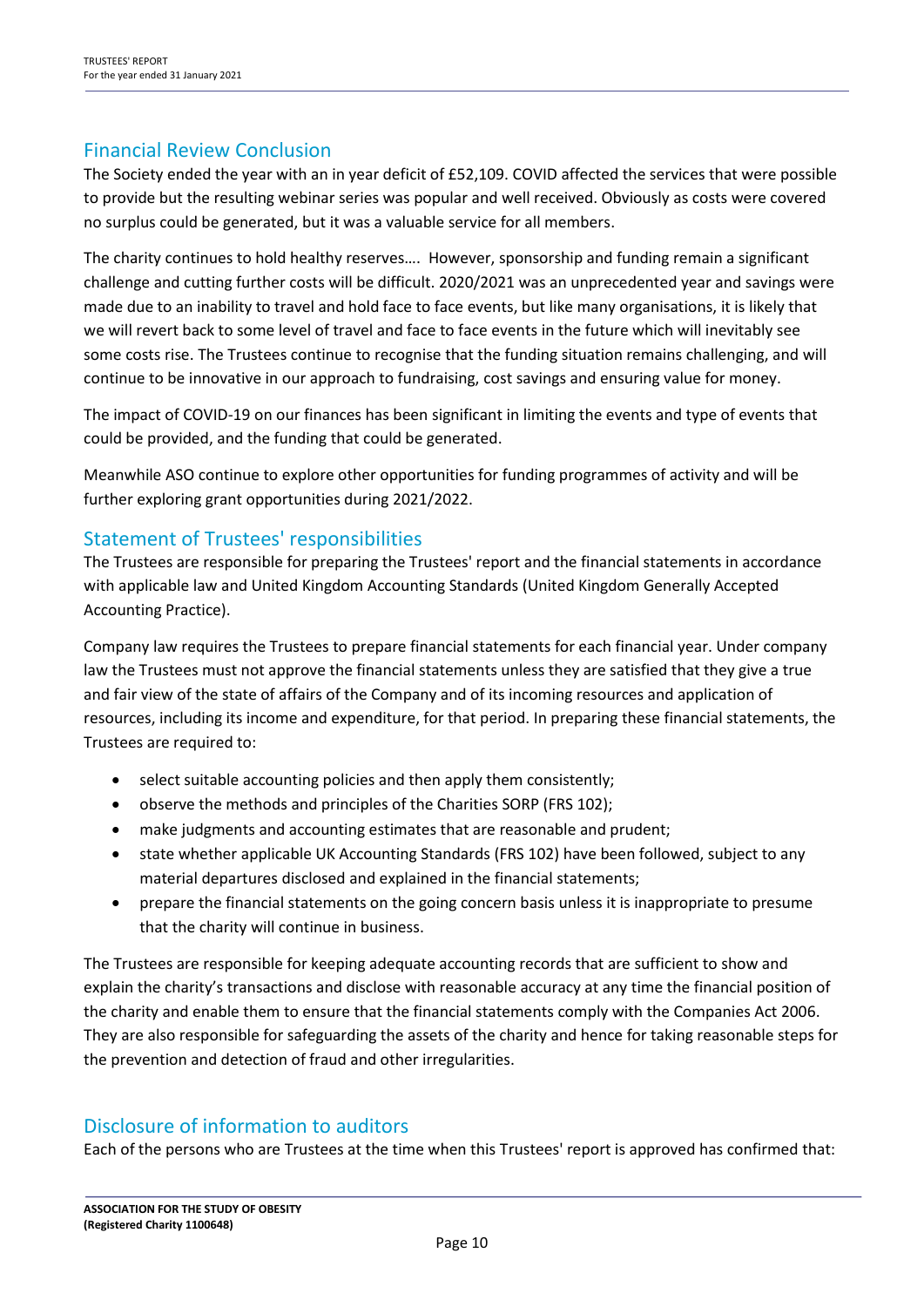### Financial Review Conclusion

The Society ended the year with an in year deficit of £52,109. COVID affected the services that were possible to provide but the resulting webinar series was popular and well received. Obviously as costs were covered no surplus could be generated, but it was a valuable service for all members.

The charity continues to hold healthy reserves…. However, sponsorship and funding remain a significant challenge and cutting further costs will be difficult. 2020/2021 was an unprecedented year and savings were made due to an inability to travel and hold face to face events, but like many organisations, it is likely that we will revert back to some level of travel and face to face events in the future which will inevitably see some costs rise. The Trustees continue to recognise that the funding situation remains challenging, and will continue to be innovative in our approach to fundraising, cost savings and ensuring value for money.

The impact of COVID-19 on our finances has been significant in limiting the events and type of events that could be provided, and the funding that could be generated.

Meanwhile ASO continue to explore other opportunities for funding programmes of activity and will be further exploring grant opportunities during 2021/2022.

### Statement of Trustees' responsibilities

The Trustees are responsible for preparing the Trustees' report and the financial statements in accordance with applicable law and United Kingdom Accounting Standards (United Kingdom Generally Accepted Accounting Practice).

Company law requires the Trustees to prepare financial statements for each financial year. Under company law the Trustees must not approve the financial statements unless they are satisfied that they give a true and fair view of the state of affairs of the Company and of its incoming resources and application of resources, including its income and expenditure, for that period. In preparing these financial statements, the Trustees are required to:

- select suitable accounting policies and then apply them consistently;
- observe the methods and principles of the Charities SORP (FRS 102);
- make judgments and accounting estimates that are reasonable and prudent;
- state whether applicable UK Accounting Standards (FRS 102) have been followed, subject to any material departures disclosed and explained in the financial statements;
- prepare the financial statements on the going concern basis unless it is inappropriate to presume that the charity will continue in business.

The Trustees are responsible for keeping adequate accounting records that are sufficient to show and explain the charity's transactions and disclose with reasonable accuracy at any time the financial position of the charity and enable them to ensure that the financial statements comply with the Companies Act 2006. They are also responsible for safeguarding the assets of the charity and hence for taking reasonable steps for the prevention and detection of fraud and other irregularities.

### Disclosure of information to auditors

Each of the persons who are Trustees at the time when this Trustees' report is approved has confirmed that: